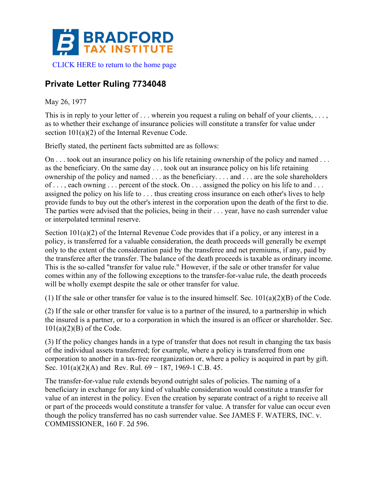

## **Private Letter Ruling 7734048**

## May 26, 1977

This is in reply to your letter of . . . wherein you request a ruling on behalf of your clients, . . . , as to whether their exchange of insurance policies will constitute a transfer for value under section 101(a)(2) of the Internal Revenue Code.

Briefly stated, the pertinent facts submitted are as follows:

On . . . took out an insurance policy on his life retaining ownership of the policy and named . . . as the beneficiary. On the same day . . . took out an insurance policy on his life retaining ownership of the policy and named . . . as the beneficiary. . . . and . . . are the sole shareholders of . . . , each owning . . . percent of the stock. On . . . assigned the policy on his life to and . . . assigned the policy on his life to . . . thus creating cross insurance on each other's lives to help provide funds to buy out the other's interest in the corporation upon the death of the first to die. The parties were advised that the policies, being in their . . . year, have no cash surrender value or interpolated terminal reserve.

Section 101(a)(2) of the Internal Revenue Code provides that if a policy, or any interest in a policy, is transferred for a valuable consideration, the death proceeds will generally be exempt only to the extent of the consideration paid by the transferee and net premiums, if any, paid by the transferee after the transfer. The balance of the death proceeds is taxable as ordinary income. This is the so-called "transfer for value rule." However, if the sale or other transfer for value comes within any of the following exceptions to the transfer-for-value rule, the death proceeds will be wholly exempt despite the sale or other transfer for value.

(1) If the sale or other transfer for value is to the insured himself. Sec.  $101(a)(2)(B)$  of the Code.

(2) If the sale or other transfer for value is to a partner of the insured, to a partnership in which the insured is a partner, or to a corporation in which the insured is an officer or shareholder. Sec.  $101(a)(2)(B)$  of the Code.

(3) If the policy changes hands in a type of transfer that does not result in changing the tax basis of the individual assets transferred; for example, where a policy is transferred from one corporation to another in a tax-free reorganization or, where a policy is acquired in part by gift. Sec.  $101(a)(2)(A)$  and Rev. Rul. 69 – 187, 1969-1 C.B. 45.

The transfer-for-value rule extends beyond outright sales of policies. The naming of a beneficiary in exchange for any kind of valuable consideration would constitute a transfer for value of an interest in the policy. Even the creation by separate contract of a right to receive all or part of the proceeds would constitute a transfer for value. A transfer for value can occur even though the policy transferred has no cash surrender value. See JAMES F. WATERS, INC. v. COMMISSIONER, 160 F. 2d 596.